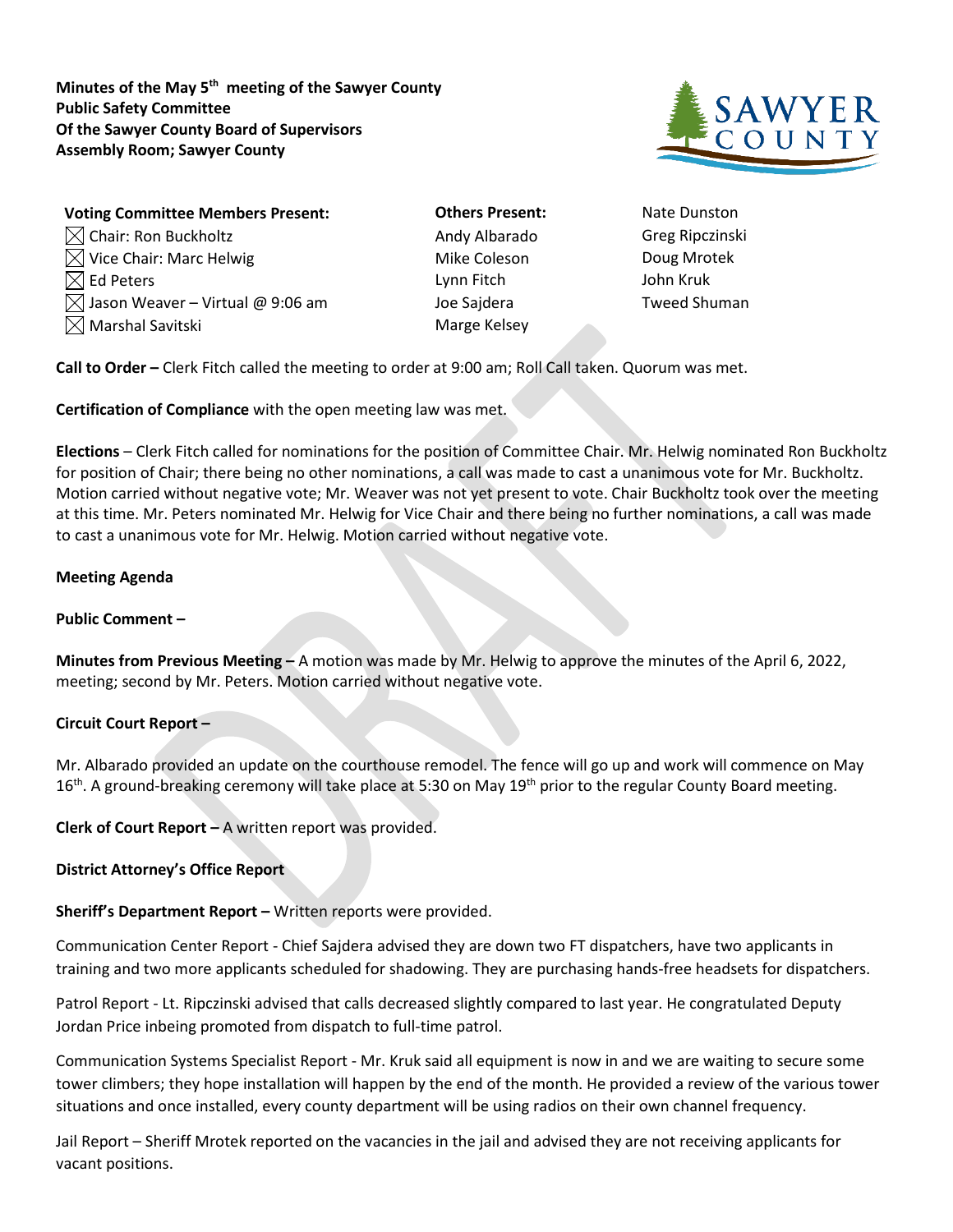**Minutes of the May 5th meeting of the Sawyer County Public Safety Committee Of the Sawyer County Board of Supervisors Assembly Room; Sawyer County**



| <b>Voting Committee Members Present:</b>     | <b>Others Present:</b> | Nate Dun:       |
|----------------------------------------------|------------------------|-----------------|
| $\boxtimes$ Chair: Ron Buckholtz             | Andy Albarado          | Greg Ripc       |
| $\boxtimes$ Vice Chair: Marc Helwig          | Mike Coleson           | Doug Mrc        |
| $\boxtimes$ Ed Peters                        | Lynn Fitch             | John Kruk       |
| $\boxtimes$ Jason Weaver – Virtual @ 9:06 am | Joe Sajdera            | <b>Tweed Sh</b> |
| $\boxtimes$ Marshal Savitski                 | Marge Kelsey           |                 |

- **Others Present:** Nate Dunston Andy Albarado Greg Ripczinski Mike Coleson Doug Mrotek Joe Sajdera **Tweed Shuman** Marge Kelsey
- 

**Call to Order –** Clerk Fitch called the meeting to order at 9:00 am; Roll Call taken. Quorum was met.

**Certification of Compliance** with the open meeting law was met.

**Elections** – Clerk Fitch called for nominations for the position of Committee Chair. Mr. Helwig nominated Ron Buckholtz for position of Chair; there being no other nominations, a call was made to cast a unanimous vote for Mr. Buckholtz. Motion carried without negative vote; Mr. Weaver was not yet present to vote. Chair Buckholtz took over the meeting at this time. Mr. Peters nominated Mr. Helwig for Vice Chair and there being no further nominations, a call was made to cast a unanimous vote for Mr. Helwig. Motion carried without negative vote.

## **Meeting Agenda**

## **Public Comment –**

**Minutes from Previous Meeting –** A motion was made by Mr. Helwig to approve the minutes of the April 6, 2022, meeting; second by Mr. Peters. Motion carried without negative vote.

## **Circuit Court Report –**

Mr. Albarado provided an update on the courthouse remodel. The fence will go up and work will commence on May  $16<sup>th</sup>$ . A ground-breaking ceremony will take place at 5:30 on May  $19<sup>th</sup>$  prior to the regular County Board meeting.

**Clerk of Court Report –** A written report was provided.

**District Attorney's Office Report**

**Sheriff's Department Report –** Written reports were provided.

Communication Center Report - Chief Sajdera advised they are down two FT dispatchers, have two applicants in training and two more applicants scheduled for shadowing. They are purchasing hands-free headsets for dispatchers.

Patrol Report - Lt. Ripczinski advised that calls decreased slightly compared to last year. He congratulated Deputy Jordan Price inbeing promoted from dispatch to full-time patrol.

Communication Systems Specialist Report - Mr. Kruk said all equipment is now in and we are waiting to secure some tower climbers; they hope installation will happen by the end of the month. He provided a review of the various tower situations and once installed, every county department will be using radios on their own channel frequency.

Jail Report – Sheriff Mrotek reported on the vacancies in the jail and advised they are not receiving applicants for vacant positions.